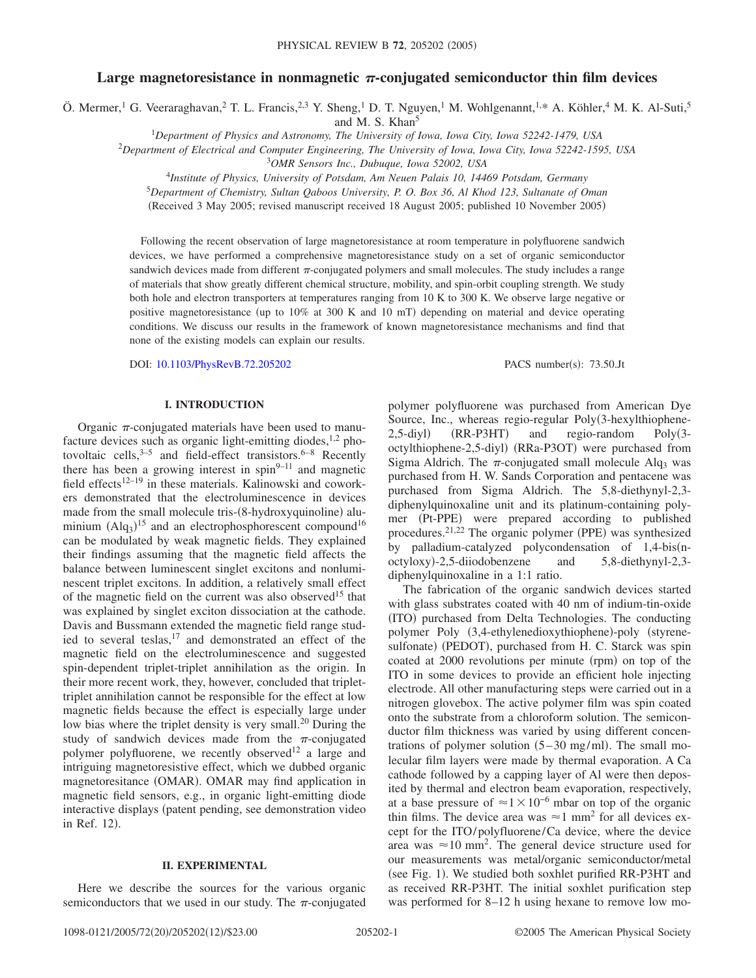# Large magnetoresistance in nonmagnetic  $\pi$ -conjugated semiconductor thin film devices

Ö. Mermer,<sup>1</sup> G. Veeraraghavan,<sup>2</sup> T. L. Francis,<sup>2,3</sup> Y. Sheng,<sup>1</sup> D. T. Nguyen,<sup>1</sup> M. Wohlgenannt,<sup>1,\*</sup> A. Köhler,<sup>4</sup> M. K. Al-Suti,<sup>5</sup>

and M. S. Khan<sup>5</sup>

<sup>1</sup>*Department of Physics and Astronomy, The University of Iowa, Iowa City, Iowa 52242-1479, USA*

2 *Department of Electrical and Computer Engineering, The University of Iowa, Iowa City, Iowa 52242-1595, USA*

<sup>3</sup>*OMR Sensors Inc., Dubuque, Iowa 52002, USA*

<sup>4</sup>*Institute of Physics, University of Potsdam, Am Neuen Palais 10, 14469 Potsdam, Germany*

<sup>5</sup>*Department of Chemistry, Sultan Qaboos University, P. O. Box 36, Al Khod 123, Sultanate of Oman*

(Received 3 May 2005; revised manuscript received 18 August 2005; published 10 November 2005)

Following the recent observation of large magnetoresistance at room temperature in polyfluorene sandwich devices, we have performed a comprehensive magnetoresistance study on a set of organic semiconductor sandwich devices made from different  $\pi$ -conjugated polymers and small molecules. The study includes a range of materials that show greatly different chemical structure, mobility, and spin-orbit coupling strength. We study both hole and electron transporters at temperatures ranging from 10 K to 300 K. We observe large negative or positive magnetoresistance (up to  $10\%$  at 300 K and 10 mT) depending on material and device operating conditions. We discuss our results in the framework of known magnetoresistance mechanisms and find that none of the existing models can explain our results.

DOI: [10.1103/PhysRevB.72.205202](http://dx.doi.org/10.1103/PhysRevB.72.205202)

PACS number(s): 73.50.Jt

## **I. INTRODUCTION**

Organic  $\pi$ -conjugated materials have been used to manufacture devices such as organic light-emitting diodes, $1,2$  photovoltaic cells,  $3-5$  and field-effect transistors.  $6-8$  Recently there has been a growing interest in  $spin<sup>9–11</sup>$  and magnetic field effects<sup>12–19</sup> in these materials. Kalinowski and coworkers demonstrated that the electroluminescence in devices made from the small molecule tris-(8-hydroxyquinoline) aluminium  $(Alq_3)^{15}$  and an electrophosphorescent compound<sup>16</sup> can be modulated by weak magnetic fields. They explained their findings assuming that the magnetic field affects the balance between luminescent singlet excitons and nonluminescent triplet excitons. In addition, a relatively small effect of the magnetic field on the current was also observed<sup>15</sup> that was explained by singlet exciton dissociation at the cathode. Davis and Bussmann extended the magnetic field range studied to several teslas,<sup>17</sup> and demonstrated an effect of the magnetic field on the electroluminescence and suggested spin-dependent triplet-triplet annihilation as the origin. In their more recent work, they, however, concluded that triplettriplet annihilation cannot be responsible for the effect at low magnetic fields because the effect is especially large under low bias where the triplet density is very small.<sup>20</sup> During the study of sandwich devices made from the  $\pi$ -conjugated polymer polyfluorene, we recently observed<sup>12</sup> a large and intriguing magnetoresistive effect, which we dubbed organic magnetoresitance (OMAR). OMAR may find application in magnetic field sensors, e.g., in organic light-emitting diode interactive displays (patent pending, see demonstration video in Ref. 12).

### **II. EXPERIMENTAL**

Here we describe the sources for the various organic semiconductors that we used in our study. The  $\pi$ -conjugated

polymer polyfluorene was purchased from American Dye Source, Inc., whereas regio-regular Poly(3-hexylthiophene- $2, 5$ -diyl $)$  $(RR-P3HT)$  and regio-random Poly3 octylthiophene-2,5-diyl) (RRa-P3OT) were purchased from Sigma Aldrich. The  $\pi$ -conjugated small molecule Alq<sub>3</sub> was purchased from H. W. Sands Corporation and pentacene was purchased from Sigma Aldrich. The 5,8-diethynyl-2,3 diphenylquinoxaline unit and its platinum-containing polymer (Pt-PPE) were prepared according to published procedures.<sup>21,22</sup> The organic polymer (PPE) was synthesized by palladium-catalyzed polycondensation of  $1,4$ -bis(noctyloxy--2,5-diiodobenzene and 5,8-diethynyl-2,3 diphenylquinoxaline in a 1:1 ratio.

The fabrication of the organic sandwich devices started with glass substrates coated with 40 nm of indium-tin-oxide (ITO) purchased from Delta Technologies. The conducting polymer Poly (3,4-ethylenedioxythiophene)-poly (styrenesulfonate) (PEDOT), purchased from H. C. Starck was spin coated at 2000 revolutions per minute (rpm) on top of the ITO in some devices to provide an efficient hole injecting electrode. All other manufacturing steps were carried out in a nitrogen glovebox. The active polymer film was spin coated onto the substrate from a chloroform solution. The semiconductor film thickness was varied by using different concentrations of polymer solution  $(5-30 \text{ mg/ml})$ . The small molecular film layers were made by thermal evaporation. A Ca cathode followed by a capping layer of Al were then deposited by thermal and electron beam evaporation, respectively, at a base pressure of  $\approx$  1  $\times$  10<sup>-6</sup> mbar on top of the organic thin films. The device area was  $\approx$  1 mm<sup>2</sup> for all devices except for the ITO/polyfluorene/Ca device, where the device area was  $\approx 10$  mm<sup>2</sup>. The general device structure used for our measurements was metal/organic semiconductor/metal (see Fig. 1). We studied both soxhlet purified RR-P3HT and as received RR-P3HT. The initial soxhlet purification step was performed for 8–12 h using hexane to remove low mo-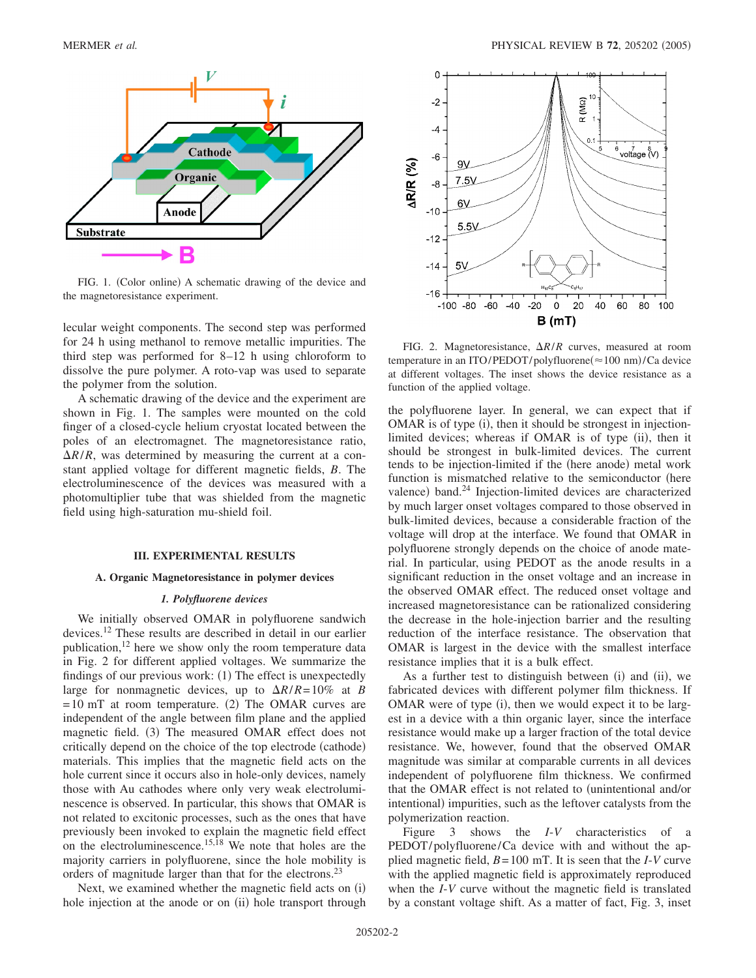

FIG. 1. (Color online) A schematic drawing of the device and the magnetoresistance experiment.

lecular weight components. The second step was performed for 24 h using methanol to remove metallic impurities. The third step was performed for 8–12 h using chloroform to dissolve the pure polymer. A roto-vap was used to separate the polymer from the solution.

A schematic drawing of the device and the experiment are shown in Fig. 1. The samples were mounted on the cold finger of a closed-cycle helium cryostat located between the poles of an electromagnet. The magnetoresistance ratio,  $\Delta R/R$ , was determined by measuring the current at a constant applied voltage for different magnetic fields, *B*. The electroluminescence of the devices was measured with a photomultiplier tube that was shielded from the magnetic field using high-saturation mu-shield foil.

### **III. EXPERIMENTAL RESULTS**

## **A. Organic Magnetoresistance in polymer devices**

### *1. Polyfluorene devices*

We initially observed OMAR in polyfluorene sandwich devices.12 These results are described in detail in our earlier publication,  $12$  here we show only the room temperature data in Fig. 2 for different applied voltages. We summarize the findings of our previous work: (1) The effect is unexpectedly large for nonmagnetic devices, up to  $\Delta R/R = 10\%$  at *B*  $= 10$  mT at room temperature. (2) The OMAR curves are independent of the angle between film plane and the applied magnetic field. (3) The measured OMAR effect does not critically depend on the choice of the top electrode (cathode) materials. This implies that the magnetic field acts on the hole current since it occurs also in hole-only devices, namely those with Au cathodes where only very weak electroluminescence is observed. In particular, this shows that OMAR is not related to excitonic processes, such as the ones that have previously been invoked to explain the magnetic field effect on the electroluminescence.<sup>15,18</sup> We note that holes are the majority carriers in polyfluorene, since the hole mobility is orders of magnitude larger than that for the electrons.<sup>23</sup>

Next, we examined whether the magnetic field acts on (i) hole injection at the anode or on (ii) hole transport through



FIG. 2. Magnetoresistance,  $\Delta R/R$  curves, measured at room temperature in an ITO/PEDOT/polyfluorene(≈100 nm)/Ca device at different voltages. The inset shows the device resistance as a function of the applied voltage.

the polyfluorene layer. In general, we can expect that if OMAR is of type (i), then it should be strongest in injectionlimited devices; whereas if OMAR is of type (ii), then it should be strongest in bulk-limited devices. The current tends to be injection-limited if the (here anode) metal work function is mismatched relative to the semiconductor (here valence) band.<sup>24</sup> Injection-limited devices are characterized by much larger onset voltages compared to those observed in bulk-limited devices, because a considerable fraction of the voltage will drop at the interface. We found that OMAR in polyfluorene strongly depends on the choice of anode material. In particular, using PEDOT as the anode results in a significant reduction in the onset voltage and an increase in the observed OMAR effect. The reduced onset voltage and increased magnetoresistance can be rationalized considering the decrease in the hole-injection barrier and the resulting reduction of the interface resistance. The observation that OMAR is largest in the device with the smallest interface resistance implies that it is a bulk effect.

As a further test to distinguish between (i) and (ii), we fabricated devices with different polymer film thickness. If OMAR were of type (i), then we would expect it to be largest in a device with a thin organic layer, since the interface resistance would make up a larger fraction of the total device resistance. We, however, found that the observed OMAR magnitude was similar at comparable currents in all devices independent of polyfluorene film thickness. We confirmed that the OMAR effect is not related to (unintentional and/or intentional) impurities, such as the leftover catalysts from the polymerization reaction.

Figure 3 shows the *I*-*V* characteristics of a PEDOT/polyfluorene/Ca device with and without the applied magnetic field, *B*=100 mT. It is seen that the *I*-*V* curve with the applied magnetic field is approximately reproduced when the *I*-*V* curve without the magnetic field is translated by a constant voltage shift. As a matter of fact, Fig. 3, inset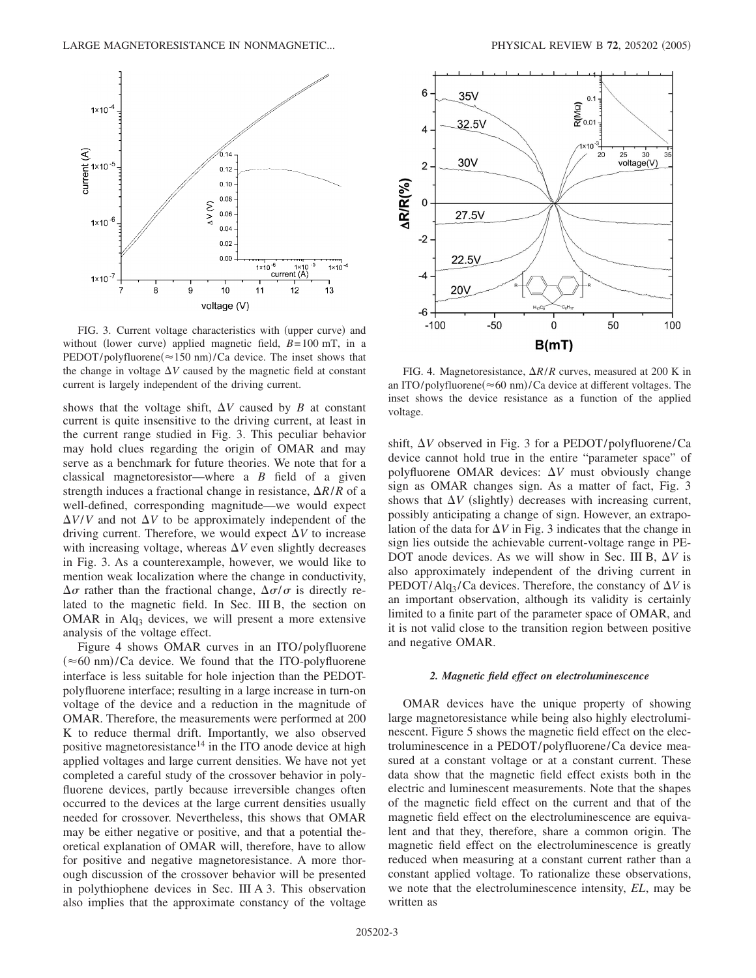

FIG. 3. Current voltage characteristics with (upper curve) and without (lower curve) applied magnetic field,  $B = 100$  mT, in a  $PEDOT/poly$ fluorene $(\approx 150 \text{ nm})$ /Ca device. The inset shows that the change in voltage  $\Delta V$  caused by the magnetic field at constant current is largely independent of the driving current.

shows that the voltage shift,  $\Delta V$  caused by *B* at constant current is quite insensitive to the driving current, at least in the current range studied in Fig. 3. This peculiar behavior may hold clues regarding the origin of OMAR and may serve as a benchmark for future theories. We note that for a classical magnetoresistor—where a *B* field of a given strength induces a fractional change in resistance,  $\Delta R/R$  of a well-defined, corresponding magnitude—we would expect  $\Delta V/V$  and not  $\Delta V$  to be approximately independent of the driving current. Therefore, we would expect  $\Delta V$  to increase with increasing voltage, whereas  $\Delta V$  even slightly decreases in Fig. 3. As a counterexample, however, we would like to mention weak localization where the change in conductivity,  $\Delta \sigma$  rather than the fractional change,  $\Delta \sigma / \sigma$  is directly related to the magnetic field. In Sec. III B, the section on OMAR in  $Alg_3$  devices, we will present a more extensive analysis of the voltage effect.

Figure 4 shows OMAR curves in an ITO/polyfluorene  $(\approx 60 \text{ nm})$ /Ca device. We found that the ITO-polyfluorene interface is less suitable for hole injection than the PEDOTpolyfluorene interface; resulting in a large increase in turn-on voltage of the device and a reduction in the magnitude of OMAR. Therefore, the measurements were performed at 200 K to reduce thermal drift. Importantly, we also observed positive magnetoresistance<sup>14</sup> in the ITO anode device at high applied voltages and large current densities. We have not yet completed a careful study of the crossover behavior in polyfluorene devices, partly because irreversible changes often occurred to the devices at the large current densities usually needed for crossover. Nevertheless, this shows that OMAR may be either negative or positive, and that a potential theoretical explanation of OMAR will, therefore, have to allow for positive and negative magnetoresistance. A more thorough discussion of the crossover behavior will be presented in polythiophene devices in Sec. III A 3. This observation also implies that the approximate constancy of the voltage



FIG. 4. Magnetoresistance,  $\Delta R/R$  curves, measured at 200 K in an ITO/polyfluorene $(\approx 60 \text{ nm})$ /Ca device at different voltages. The inset shows the device resistance as a function of the applied voltage.

shift,  $\Delta V$  observed in Fig. 3 for a PEDOT/polyfluorene/Ca device cannot hold true in the entire "parameter space" of polyfluorene OMAR devices:  $\Delta V$  must obviously change sign as OMAR changes sign. As a matter of fact, Fig. 3 shows that  $\Delta V$  (slightly) decreases with increasing current, possibly anticipating a change of sign. However, an extrapolation of the data for  $\Delta V$  in Fig. 3 indicates that the change in sign lies outside the achievable current-voltage range in PE-DOT anode devices. As we will show in Sec. III B,  $\Delta V$  is also approximately independent of the driving current in PEDOT/Alq<sub>3</sub>/Ca devices. Therefore, the constancy of  $\Delta V$  is an important observation, although its validity is certainly limited to a finite part of the parameter space of OMAR, and it is not valid close to the transition region between positive and negative OMAR.

### *2. Magnetic field effect on electroluminescence*

OMAR devices have the unique property of showing large magnetoresistance while being also highly electroluminescent. Figure 5 shows the magnetic field effect on the electroluminescence in a PEDOT/polyfluorene/Ca device measured at a constant voltage or at a constant current. These data show that the magnetic field effect exists both in the electric and luminescent measurements. Note that the shapes of the magnetic field effect on the current and that of the magnetic field effect on the electroluminescence are equivalent and that they, therefore, share a common origin. The magnetic field effect on the electroluminescence is greatly reduced when measuring at a constant current rather than a constant applied voltage. To rationalize these observations, we note that the electroluminescence intensity, *EL*, may be written as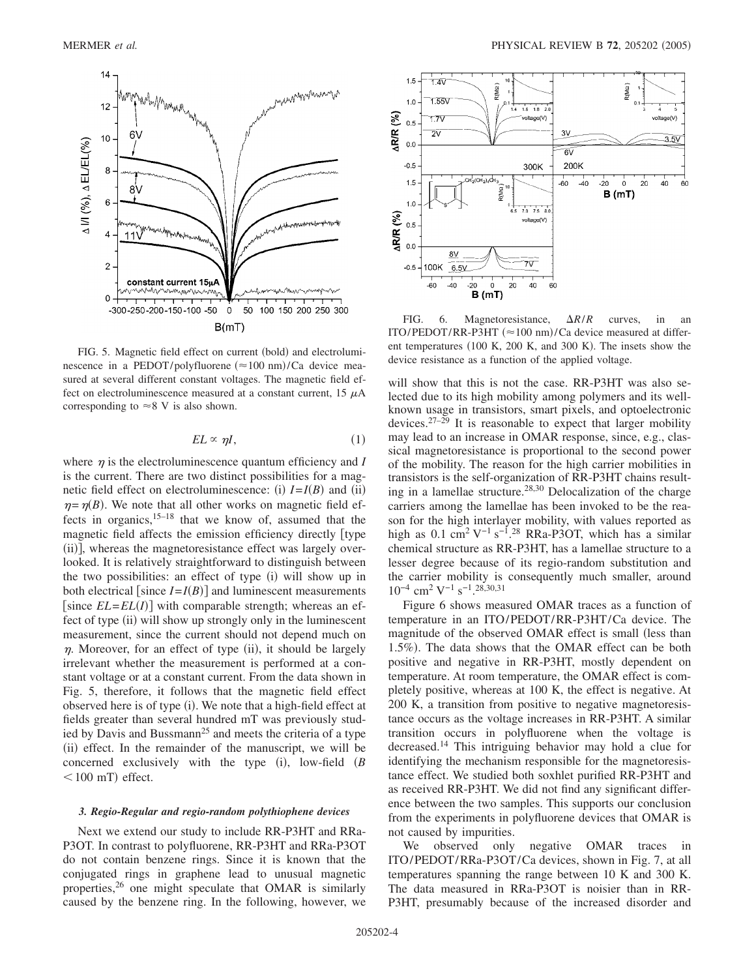

FIG. 5. Magnetic field effect on current (bold) and electroluminescence in a PEDOT/polyfluorene  $(\approx 100 \text{ nm})$ /Ca device measured at several different constant voltages. The magnetic field effect on electroluminescence measured at a constant current,  $15 \mu A$ corresponding to  $\approx$ 8 V is also shown.

$$
EL \propto \eta I, \tag{1}
$$

where  $\eta$  is the electroluminescence quantum efficiency and *I* is the current. There are two distinct possibilities for a magnetic field effect on electroluminescence: (i)  $I = I(B)$  and (ii)  $\eta = \eta(B)$ . We note that all other works on magnetic field effects in organics,  $15-18$  that we know of, assumed that the magnetic field affects the emission efficiency directly type (ii)], whereas the magnetoresistance effect was largely overlooked. It is relatively straightforward to distinguish between the two possibilities: an effect of type (i) will show up in both electrical [since  $I = I(B)$ ] and luminescent measurements [since  $EL = EL(I)$ ] with comparable strength; whereas an effect of type (ii) will show up strongly only in the luminescent measurement, since the current should not depend much on  $\eta$ . Moreover, for an effect of type (ii), it should be largely irrelevant whether the measurement is performed at a constant voltage or at a constant current. From the data shown in Fig. 5, therefore, it follows that the magnetic field effect observed here is of type (i). We note that a high-field effect at fields greater than several hundred mT was previously studied by Davis and Bussmann<sup>25</sup> and meets the criteria of a type (ii) effect. In the remainder of the manuscript, we will be concerned exclusively with the type  $(i)$ , low-field  $(B)$  $<$  100 mT) effect.

### *3. Regio-Regular and regio-random polythiophene devices*

Next we extend our study to include RR-P3HT and RRa-P3OT. In contrast to polyfluorene, RR-P3HT and RRa-P3OT do not contain benzene rings. Since it is known that the conjugated rings in graphene lead to unusual magnetic properties,26 one might speculate that OMAR is similarly caused by the benzene ring. In the following, however, we



FIG. 6. Magnetoresistance,  $\Delta R/R$  curves, in an ITO/PEDOT/RR-P3HT  $(\approx 100 \text{ nm})$ /Ca device measured at different temperatures (100 K, 200 K, and 300 K). The insets show the device resistance as a function of the applied voltage.

will show that this is not the case. RR-P3HT was also selected due to its high mobility among polymers and its wellknown usage in transistors, smart pixels, and optoelectronic devices.<sup>27–29</sup> It is reasonable to expect that larger mobility may lead to an increase in OMAR response, since, e.g., classical magnetoresistance is proportional to the second power of the mobility. The reason for the high carrier mobilities in transistors is the self-organization of RR-P3HT chains resulting in a lamellae structure.28,30 Delocalization of the charge carriers among the lamellae has been invoked to be the reason for the high interlayer mobility, with values reported as high as  $0.1 \text{ cm}^2 \text{ V}^{-1} \text{ s}^{-1}$ .<sup>28</sup> RRa-P3OT, which has a similar chemical structure as RR-P3HT, has a lamellae structure to a lesser degree because of its regio-random substitution and the carrier mobility is consequently much smaller, around  $10^{-4}$  cm<sup>2</sup> V<sup>-1</sup> s<sup>-1</sup>.<sup>28,30,31</sup>

Figure 6 shows measured OMAR traces as a function of temperature in an ITO/PEDOT/RR-P3HT/Ca device. The magnitude of the observed OMAR effect is small (less than 1.5%). The data shows that the OMAR effect can be both positive and negative in RR-P3HT, mostly dependent on temperature. At room temperature, the OMAR effect is completely positive, whereas at 100 K, the effect is negative. At 200 K, a transition from positive to negative magnetoresistance occurs as the voltage increases in RR-P3HT. A similar transition occurs in polyfluorene when the voltage is decreased.14 This intriguing behavior may hold a clue for identifying the mechanism responsible for the magnetoresistance effect. We studied both soxhlet purified RR-P3HT and as received RR-P3HT. We did not find any significant difference between the two samples. This supports our conclusion from the experiments in polyfluorene devices that OMAR is not caused by impurities.

We observed only negative OMAR traces in ITO/PEDOT/RRa-P3OT/Ca devices, shown in Fig. 7, at all temperatures spanning the range between 10 K and 300 K. The data measured in RRa-P3OT is noisier than in RR-P3HT, presumably because of the increased disorder and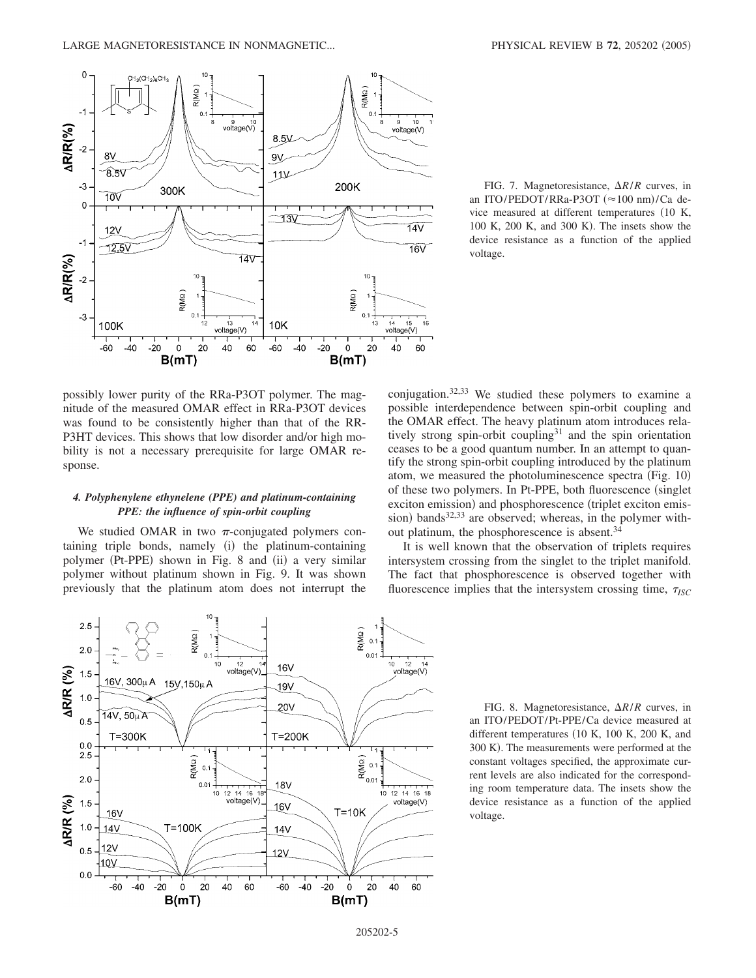

possibly lower purity of the RRa-P3OT polymer. The magnitude of the measured OMAR effect in RRa-P3OT devices was found to be consistently higher than that of the RR-P3HT devices. This shows that low disorder and/or high mobility is not a necessary prerequisite for large OMAR response.

## *4. Polyphenylene ethynelene (PPE) and platinum-containing PPE: the influence of spin-orbit coupling*

We studied OMAR in two  $\pi$ -conjugated polymers containing triple bonds, namely (i) the platinum-containing polymer (Pt-PPE) shown in Fig. 8 and (ii) a very similar polymer without platinum shown in Fig. 9. It was shown previously that the platinum atom does not interrupt the

FIG. 7. Magnetoresistance,  $\Delta R/R$  curves, in an ITO/PEDOT/RRa-P3OT (≈100 nm)/Ca device measured at different temperatures (10 K, 100 K, 200 K, and 300 K). The insets show the device resistance as a function of the applied voltage.

conjugation.32,33 We studied these polymers to examine a possible interdependence between spin-orbit coupling and the OMAR effect. The heavy platinum atom introduces relatively strong spin-orbit coupling<sup>31</sup> and the spin orientation ceases to be a good quantum number. In an attempt to quantify the strong spin-orbit coupling introduced by the platinum atom, we measured the photoluminescence spectra (Fig. 10) of these two polymers. In Pt-PPE, both fluorescence (singlet exciton emission) and phosphorescence (triplet exciton emission) bands<sup>32,33</sup> are observed; whereas, in the polymer without platinum, the phosphorescence is absent.<sup>34</sup>

It is well known that the observation of triplets requires intersystem crossing from the singlet to the triplet manifold. The fact that phosphorescence is observed together with fluorescence implies that the intersystem crossing time,  $\tau_{ISC}$ 



FIG. 8. Magnetoresistance,  $\Delta R/R$  curves, in an ITO/PEDOT/Pt-PPE/Ca device measured at different temperatures (10 K, 100 K, 200 K, and 300 K). The measurements were performed at the constant voltages specified, the approximate current levels are also indicated for the corresponding room temperature data. The insets show the device resistance as a function of the applied voltage.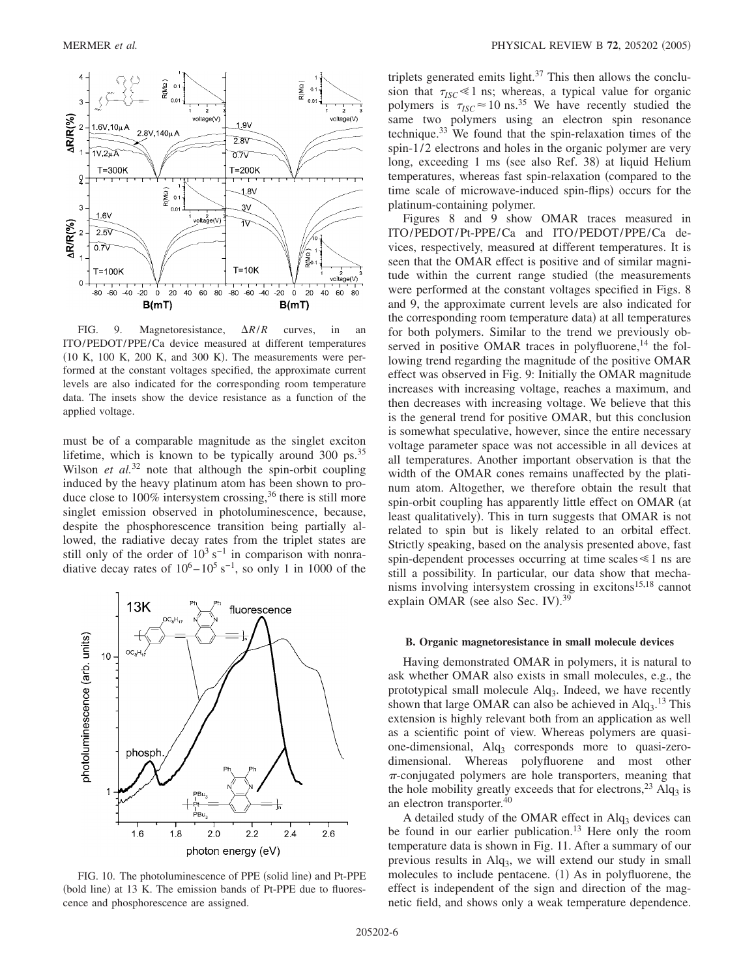

FIG. 9. Magnetoresistance,  $\Delta R/R$  curves, in an ITO/PEDOT/PPE/Ca device measured at different temperatures  $(10 K, 100 K, 200 K, and 300 K)$ . The measurements were performed at the constant voltages specified, the approximate current levels are also indicated for the corresponding room temperature data. The insets show the device resistance as a function of the applied voltage.

must be of a comparable magnitude as the singlet exciton lifetime, which is known to be typically around 300 ps.<sup>35</sup> Wilson *et al.*<sup>32</sup> note that although the spin-orbit coupling induced by the heavy platinum atom has been shown to produce close to  $100\%$  intersystem crossing,<sup>36</sup> there is still more singlet emission observed in photoluminescence, because, despite the phosphorescence transition being partially allowed, the radiative decay rates from the triplet states are still only of the order of  $10^3$  s<sup>-1</sup> in comparison with nonradiative decay rates of  $10^6 - 10^5$  s<sup>-1</sup>, so only 1 in 1000 of the



FIG. 10. The photoluminescence of PPE (solid line) and Pt-PPE (bold line) at 13 K. The emission bands of Pt-PPE due to fluorescence and phosphorescence are assigned.

triplets generated emits light. $37$  This then allows the conclusion that  $\tau_{ISC} \leq 1$  ns; whereas, a typical value for organic polymers is  $\tau_{ISC} \approx 10 \text{ ns.}^{35}$  We have recently studied the same two polymers using an electron spin resonance technique.33 We found that the spin-relaxation times of the spin-1/2 electrons and holes in the organic polymer are very long, exceeding 1 ms (see also Ref. 38) at liquid Helium temperatures, whereas fast spin-relaxation (compared to the time scale of microwave-induced spin-flips) occurs for the platinum-containing polymer.

Figures 8 and 9 show OMAR traces measured in ITO/PEDOT/Pt-PPE/Ca and ITO/PEDOT/PPE/Ca devices, respectively, measured at different temperatures. It is seen that the OMAR effect is positive and of similar magnitude within the current range studied (the measurements were performed at the constant voltages specified in Figs. 8 and 9, the approximate current levels are also indicated for the corresponding room temperature data) at all temperatures for both polymers. Similar to the trend we previously observed in positive OMAR traces in polyfluorene, $^{14}$  the following trend regarding the magnitude of the positive OMAR effect was observed in Fig. 9: Initially the OMAR magnitude increases with increasing voltage, reaches a maximum, and then decreases with increasing voltage. We believe that this is the general trend for positive OMAR, but this conclusion is somewhat speculative, however, since the entire necessary voltage parameter space was not accessible in all devices at all temperatures. Another important observation is that the width of the OMAR cones remains unaffected by the platinum atom. Altogether, we therefore obtain the result that spin-orbit coupling has apparently little effect on OMAR (at least qualitatively). This in turn suggests that OMAR is not related to spin but is likely related to an orbital effect. Strictly speaking, based on the analysis presented above, fast spin-dependent processes occurring at time scales  $\leq 1$  ns are still a possibility. In particular, our data show that mechanisms involving intersystem crossing in excitons $15,18$  cannot explain OMAR (see also Sec. IV).<sup>39</sup>

#### **B. Organic magnetoresistance in small molecule devices**

Having demonstrated OMAR in polymers, it is natural to ask whether OMAR also exists in small molecules, e.g., the prototypical small molecule  $\text{Alg}_3$ . Indeed, we have recently shown that large OMAR can also be achieved in  $Alq_3$ .<sup>13</sup> This extension is highly relevant both from an application as well as a scientific point of view. Whereas polymers are quasione-dimensional,  $\text{Alg}_3$  corresponds more to quasi-zerodimensional. Whereas polyfluorene and most other  $\pi$ -conjugated polymers are hole transporters, meaning that the hole mobility greatly exceeds that for electrons,  $^{23}$  Alq<sub>3</sub> is an electron transporter.40

A detailed study of the OMAR effect in  $Alg<sub>3</sub>$  devices can be found in our earlier publication.<sup>13</sup> Here only the room temperature data is shown in Fig. 11. After a summary of our previous results in  $\text{Alq}_3$ , we will extend our study in small molecules to include pentacene. (1) As in polyfluorene, the effect is independent of the sign and direction of the magnetic field, and shows only a weak temperature dependence.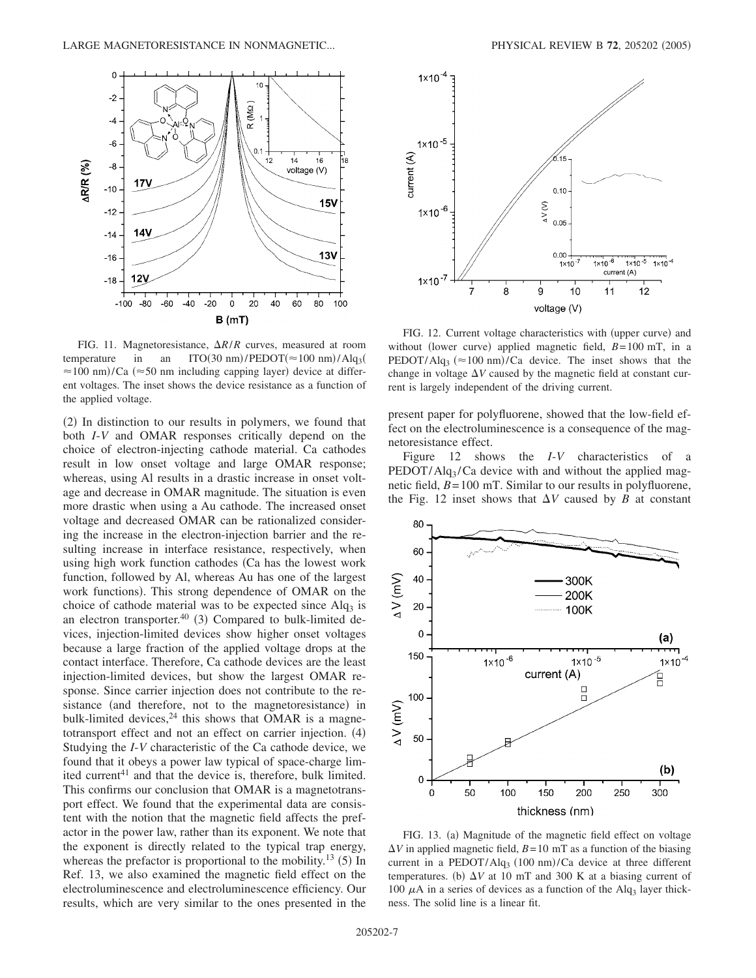

FIG. 11. Magnetoresistance,  $\Delta R/R$  curves, measured at room temperature in an ITO(30 nm)/PEDOT( $\approx$ 100 nm)/Alq<sub>3</sub>(  $\approx$ 100 nm)/Ca ( $\approx$ 50 nm including capping layer) device at different voltages. The inset shows the device resistance as a function of the applied voltage.

(2) In distinction to our results in polymers, we found that both *I*-*V* and OMAR responses critically depend on the choice of electron-injecting cathode material. Ca cathodes result in low onset voltage and large OMAR response; whereas, using Al results in a drastic increase in onset voltage and decrease in OMAR magnitude. The situation is even more drastic when using a Au cathode. The increased onset voltage and decreased OMAR can be rationalized considering the increase in the electron-injection barrier and the resulting increase in interface resistance, respectively, when using high work function cathodes Ca has the lowest work function, followed by Al, whereas Au has one of the largest work functions). This strong dependence of OMAR on the choice of cathode material was to be expected since  $\text{Alq}_3$  is an electron transporter. $40$  (3) Compared to bulk-limited devices, injection-limited devices show higher onset voltages because a large fraction of the applied voltage drops at the contact interface. Therefore, Ca cathode devices are the least injection-limited devices, but show the largest OMAR response. Since carrier injection does not contribute to the resistance (and therefore, not to the magnetoresistance) in bulk-limited devices, $24$  this shows that OMAR is a magnetotransport effect and not an effect on carrier injection. (4) Studying the *I*-*V* characteristic of the Ca cathode device, we found that it obeys a power law typical of space-charge limited current<sup>41</sup> and that the device is, therefore, bulk limited. This confirms our conclusion that OMAR is a magnetotransport effect. We found that the experimental data are consistent with the notion that the magnetic field affects the prefactor in the power law, rather than its exponent. We note that the exponent is directly related to the typical trap energy, whereas the prefactor is proportional to the mobility.<sup>13</sup> (5) In Ref. 13, we also examined the magnetic field effect on the electroluminescence and electroluminescence efficiency. Our results, which are very similar to the ones presented in the



FIG. 12. Current voltage characteristics with (upper curve) and without (lower curve) applied magnetic field,  $B=100$  mT, in a PEDOT/Alq<sub>3</sub> ( $\approx$ 100 nm)/Ca device. The inset shows that the change in voltage  $\Delta V$  caused by the magnetic field at constant current is largely independent of the driving current.

present paper for polyfluorene, showed that the low-field effect on the electroluminescence is a consequence of the magnetoresistance effect.

Figure 12 shows the *I*-*V* characteristics of a  $PEDOT/Alg<sub>3</sub>/Ca$  device with and without the applied magnetic field, *B*=100 mT. Similar to our results in polyfluorene, the Fig. 12 inset shows that  $\Delta V$  caused by *B* at constant



FIG. 13. (a) Magnitude of the magnetic field effect on voltage  $\Delta V$  in applied magnetic field,  $B=10$  mT as a function of the biasing current in a  $PEDOT/Alg_3$  (100 nm)/Ca device at three different temperatures. (b)  $\Delta V$  at 10 mT and 300 K at a biasing current of 100  $\mu$ A in a series of devices as a function of the Alq<sub>3</sub> layer thickness. The solid line is a linear fit.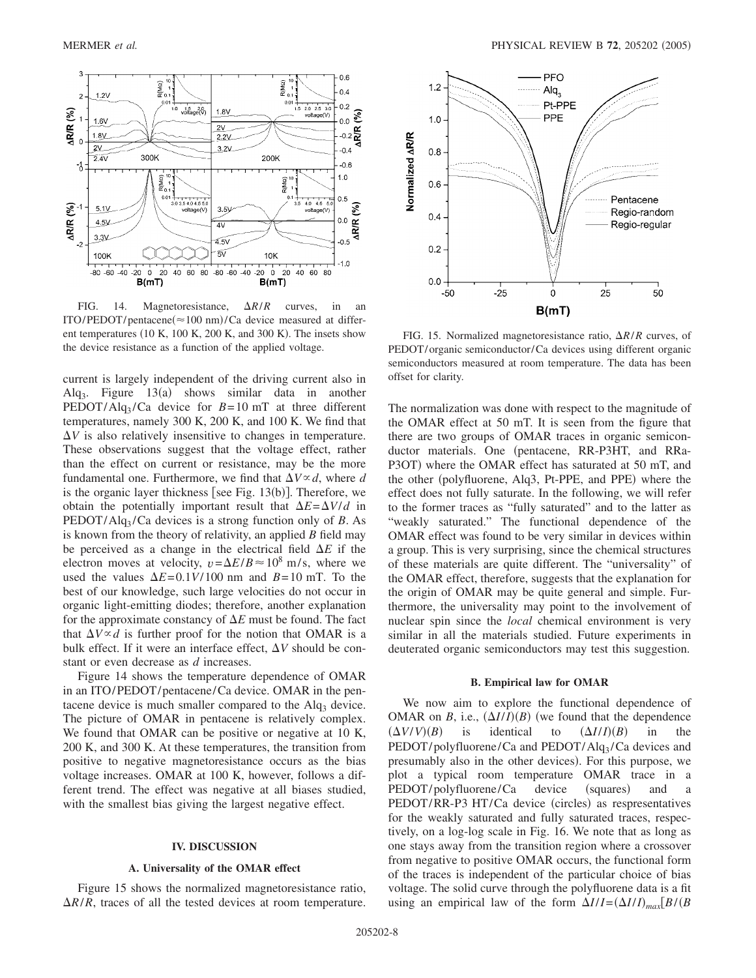

FIG. 14. Magnetoresistance,  $\Delta R/R$  curves, in an  $ITO/PEDOT/pentacene (\approx 100 \text{ nm})/Ca$  device measured at different temperatures (10 K, 100 K, 200 K, and 300 K). The insets show the device resistance as a function of the applied voltage.

current is largely independent of the driving current also in Alq<sub>3</sub>. Figure  $13(a)$  shows similar data in another PEDOT/Alq<sub>3</sub>/Ca device for  $B=10$  mT at three different temperatures, namely 300 K, 200 K, and 100 K. We find that  $\Delta V$  is also relatively insensitive to changes in temperature. These observations suggest that the voltage effect, rather than the effect on current or resistance, may be the more fundamental one. Furthermore, we find that  $\Delta V \propto d$ , where *d* is the organic layer thickness [see Fig.  $13(b)$ ]. Therefore, we obtain the potentially important result that  $\Delta E = \Delta V/d$  in PEDOT/Alq3 /Ca devices is a strong function only of *B*. As is known from the theory of relativity, an applied *B* field may be perceived as a change in the electrical field  $\Delta E$  if the electron moves at velocity,  $v = \Delta E/B \approx 10^8$  m/s, where we used the values  $\Delta E = 0.1 V / 100$  nm and  $B = 10$  mT. To the best of our knowledge, such large velocities do not occur in organic light-emitting diodes; therefore, another explanation for the approximate constancy of  $\Delta E$  must be found. The fact that  $\Delta V \propto d$  is further proof for the notion that OMAR is a bulk effect. If it were an interface effect,  $\Delta V$  should be constant or even decrease as *d* increases.

Figure 14 shows the temperature dependence of OMAR in an ITO/PEDOT/pentacene/Ca device. OMAR in the pentacene device is much smaller compared to the  $Alq<sub>3</sub>$  device. The picture of OMAR in pentacene is relatively complex. We found that OMAR can be positive or negative at 10 K, 200 K, and 300 K. At these temperatures, the transition from positive to negative magnetoresistance occurs as the bias voltage increases. OMAR at 100 K, however, follows a different trend. The effect was negative at all biases studied, with the smallest bias giving the largest negative effect.

### **IV. DISCUSSION**

### **A. Universality of the OMAR effect**

Figure 15 shows the normalized magnetoresistance ratio,  $\Delta R/R$ , traces of all the tested devices at room temperature.



FIG. 15. Normalized magnetoresistance ratio,  $\Delta R/R$  curves, of PEDOT/organic semiconductor/Ca devices using different organic semiconductors measured at room temperature. The data has been offset for clarity.

The normalization was done with respect to the magnitude of the OMAR effect at 50 mT. It is seen from the figure that there are two groups of OMAR traces in organic semiconductor materials. One (pentacene, RR-P3HT, and RRa-P3OT) where the OMAR effect has saturated at 50 mT, and the other (polyfluorene, Alq3, Pt-PPE, and PPE) where the effect does not fully saturate. In the following, we will refer to the former traces as "fully saturated" and to the latter as "weakly saturated." The functional dependence of the OMAR effect was found to be very similar in devices within a group. This is very surprising, since the chemical structures of these materials are quite different. The "universality" of the OMAR effect, therefore, suggests that the explanation for the origin of OMAR may be quite general and simple. Furthermore, the universality may point to the involvement of nuclear spin since the *local* chemical environment is very similar in all the materials studied. Future experiments in deuterated organic semiconductors may test this suggestion.

### **B. Empirical law for OMAR**

We now aim to explore the functional dependence of OMAR on *B*, i.e.,  $(\Delta I/I)(B)$  (we found that the dependence  $(\Delta V/V)(B)$ is *identical* to  $(\Delta I/I)(B)$  in the PEDOT/polyfluorene/Ca and PEDOT/Alq<sub>3</sub>/Ca devices and presumably also in the other devices). For this purpose, we plot a typical room temperature OMAR trace in a  $PEDOT/polyfluorene/Ca$  device (squares) and a PEDOT/RR-P3 HT/Ca device (circles) as respresentatives for the weakly saturated and fully saturated traces, respectively, on a log-log scale in Fig. 16. We note that as long as one stays away from the transition region where a crossover from negative to positive OMAR occurs, the functional form of the traces is independent of the particular choice of bias voltage. The solid curve through the polyfluorene data is a fit using an empirical law of the form  $\Delta I/I = (\Delta I/I)_{max}[B/(B)$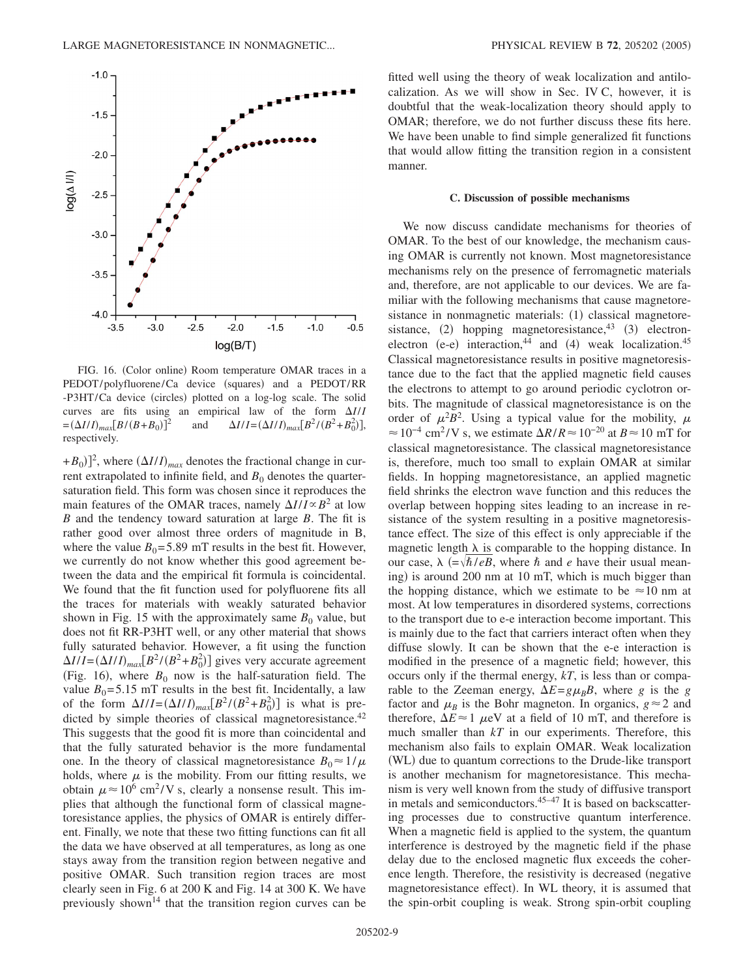

FIG. 16. (Color online) Room temperature OMAR traces in a PEDOT/polyfluorene/Ca device (squares) and a PEDOT/RR -P3HT/Ca device (circles) plotted on a log-log scale. The solid curves are fits using an empirical law of the form  $\Delta I/I$  $=(\Delta I/I)_{max}[B/(B+B_0)]$  $\int_1^2$  and  $\Delta I/I = (\Delta I/I)_{max} [B^2 / (B^2 + B_0^2)],$ respectively.

 $(+B_0)$ <sup>2</sup>, where  $(\Delta I/I)_{max}$  denotes the fractional change in current extrapolated to infinite field, and  $B<sub>0</sub>$  denotes the quartersaturation field. This form was chosen since it reproduces the main features of the OMAR traces, namely  $\Delta I/I \propto B^2$  at low *B* and the tendency toward saturation at large *B*. The fit is rather good over almost three orders of magnitude in B, where the value  $B_0$ =5.89 mT results in the best fit. However, we currently do not know whether this good agreement between the data and the empirical fit formula is coincidental. We found that the fit function used for polyfluorene fits all the traces for materials with weakly saturated behavior shown in Fig. 15 with the approximately same  $B_0$  value, but does not fit RR-P3HT well, or any other material that shows fully saturated behavior. However, a fit using the function  $\Delta I/I = (\Delta I/I)_{max} [B^2 / (B^2 + B_0^2)]$  gives very accurate agreement (Fig. 16), where  $B_0$  now is the half-saturation field. The value  $B_0 = 5.15$  mT results in the best fit. Incidentally, a law of the form  $\Delta I/I = (\Delta I/I)_{max} [B^2 / (B^2 + B_0^2)]$  is what is predicted by simple theories of classical magnetoresistance.<sup>42</sup> This suggests that the good fit is more than coincidental and that the fully saturated behavior is the more fundamental one. In the theory of classical magnetoresistance  $B_0 \approx 1/\mu$ holds, where  $\mu$  is the mobility. From our fitting results, we obtain  $\mu \approx 10^6 \text{ cm}^2$ /V s, clearly a nonsense result. This implies that although the functional form of classical magnetoresistance applies, the physics of OMAR is entirely different. Finally, we note that these two fitting functions can fit all the data we have observed at all temperatures, as long as one stays away from the transition region between negative and positive OMAR. Such transition region traces are most clearly seen in Fig. 6 at 200 K and Fig. 14 at 300 K. We have previously shown<sup>14</sup> that the transition region curves can be fitted well using the theory of weak localization and antilocalization. As we will show in Sec. IV C, however, it is doubtful that the weak-localization theory should apply to OMAR; therefore, we do not further discuss these fits here. We have been unable to find simple generalized fit functions that would allow fitting the transition region in a consistent manner.

### **C. Discussion of possible mechanisms**

We now discuss candidate mechanisms for theories of OMAR. To the best of our knowledge, the mechanism causing OMAR is currently not known. Most magnetoresistance mechanisms rely on the presence of ferromagnetic materials and, therefore, are not applicable to our devices. We are familiar with the following mechanisms that cause magnetoresistance in nonmagnetic materials: (1) classical magnetoresistance,  $(2)$  hopping magnetoresistance,  $(3)$  electronelectron (e-e) interaction,<sup>44</sup> and (4) weak localization.<sup>45</sup> Classical magnetoresistance results in positive magnetoresistance due to the fact that the applied magnetic field causes the electrons to attempt to go around periodic cyclotron orbits. The magnitude of classical magnetoresistance is on the order of  $\mu^2 B^2$ . Using a typical value for the mobility,  $\mu$  $\approx 10^{-4}$  cm<sup>2</sup>/V s, we estimate  $\Delta R/R \approx 10^{-20}$  at  $B \approx 10$  mT for classical magnetoresistance. The classical magnetoresistance is, therefore, much too small to explain OMAR at similar fields. In hopping magnetoresistance, an applied magnetic field shrinks the electron wave function and this reduces the overlap between hopping sites leading to an increase in resistance of the system resulting in a positive magnetoresistance effect. The size of this effect is only appreciable if the magnetic length  $\lambda$  is comparable to the hopping distance. In our case,  $\lambda$  (= $\sqrt{\hbar/eB}$ , where  $\hbar$  and *e* have their usual meaning) is around 200 nm at 10 mT, which is much bigger than the hopping distance, which we estimate to be  $\approx 10$  nm at most. At low temperatures in disordered systems, corrections to the transport due to e-e interaction become important. This is mainly due to the fact that carriers interact often when they diffuse slowly. It can be shown that the e-e interaction is modified in the presence of a magnetic field; however, this occurs only if the thermal energy, *kT*, is less than or comparable to the Zeeman energy,  $\Delta E = g \mu_B B$ , where *g* is the *g* factor and  $\mu_B$  is the Bohr magneton. In organics,  $g \approx 2$  and therefore,  $\Delta E \approx 1$   $\mu$ eV at a field of 10 mT, and therefore is much smaller than *kT* in our experiments. Therefore, this mechanism also fails to explain OMAR. Weak localization (WL) due to quantum corrections to the Drude-like transport is another mechanism for magnetoresistance. This mechanism is very well known from the study of diffusive transport in metals and semiconductors.<sup>45–47</sup> It is based on backscattering processes due to constructive quantum interference. When a magnetic field is applied to the system, the quantum interference is destroyed by the magnetic field if the phase delay due to the enclosed magnetic flux exceeds the coherence length. Therefore, the resistivity is decreased (negative magnetoresistance effect). In WL theory, it is assumed that the spin-orbit coupling is weak. Strong spin-orbit coupling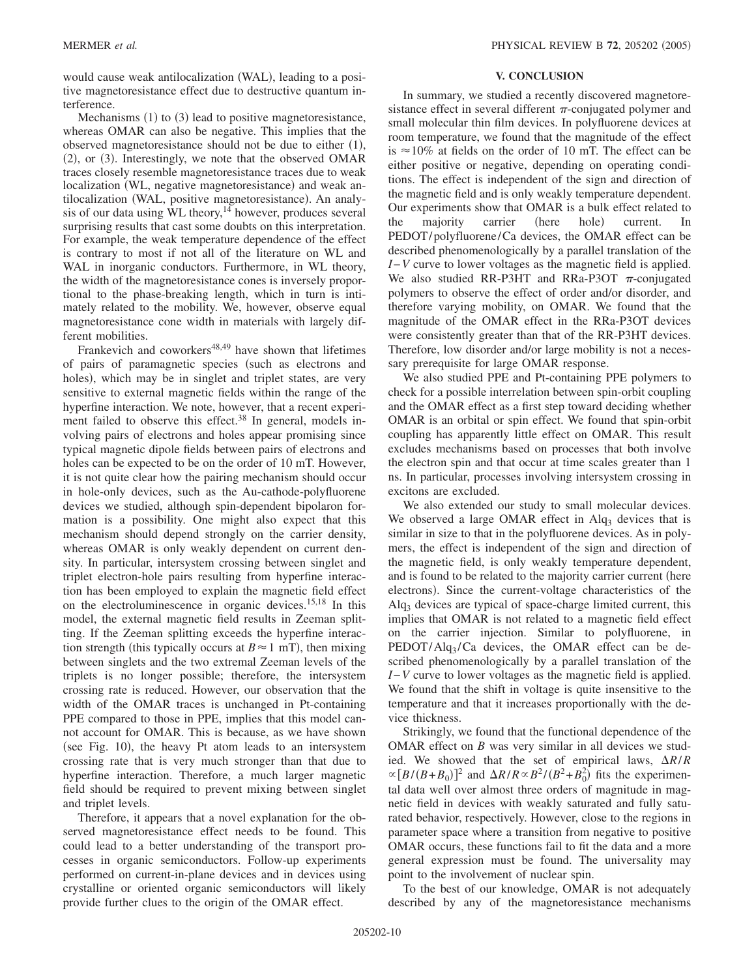would cause weak antilocalization (WAL), leading to a positive magnetoresistance effect due to destructive quantum interference.

Mechanisms (1) to (3) lead to positive magnetoresistance, whereas OMAR can also be negative. This implies that the observed magnetoresistance should not be due to either  $(1)$ , (2), or (3). Interestingly, we note that the observed OMAR traces closely resemble magnetoresistance traces due to weak localization (WL, negative magnetoresistance) and weak antilocalization (WAL, positive magnetoresistance). An analysis of our data using  $\overline{WL}$  theory, <sup>14</sup> however, produces several surprising results that cast some doubts on this interpretation. For example, the weak temperature dependence of the effect is contrary to most if not all of the literature on WL and WAL in inorganic conductors. Furthermore, in WL theory, the width of the magnetoresistance cones is inversely proportional to the phase-breaking length, which in turn is intimately related to the mobility. We, however, observe equal magnetoresistance cone width in materials with largely different mobilities.

Frankevich and coworkers<sup>48,49</sup> have shown that lifetimes of pairs of paramagnetic species (such as electrons and holes), which may be in singlet and triplet states, are very sensitive to external magnetic fields within the range of the hyperfine interaction. We note, however, that a recent experiment failed to observe this effect.<sup>38</sup> In general, models involving pairs of electrons and holes appear promising since typical magnetic dipole fields between pairs of electrons and holes can be expected to be on the order of 10 mT. However, it is not quite clear how the pairing mechanism should occur in hole-only devices, such as the Au-cathode-polyfluorene devices we studied, although spin-dependent bipolaron formation is a possibility. One might also expect that this mechanism should depend strongly on the carrier density, whereas OMAR is only weakly dependent on current density. In particular, intersystem crossing between singlet and triplet electron-hole pairs resulting from hyperfine interaction has been employed to explain the magnetic field effect on the electroluminescence in organic devices.15,18 In this model, the external magnetic field results in Zeeman splitting. If the Zeeman splitting exceeds the hyperfine interaction strength (this typically occurs at  $B \approx 1$  mT), then mixing between singlets and the two extremal Zeeman levels of the triplets is no longer possible; therefore, the intersystem crossing rate is reduced. However, our observation that the width of the OMAR traces is unchanged in Pt-containing PPE compared to those in PPE, implies that this model cannot account for OMAR. This is because, as we have shown (see Fig. 10), the heavy Pt atom leads to an intersystem crossing rate that is very much stronger than that due to hyperfine interaction. Therefore, a much larger magnetic field should be required to prevent mixing between singlet and triplet levels.

Therefore, it appears that a novel explanation for the observed magnetoresistance effect needs to be found. This could lead to a better understanding of the transport processes in organic semiconductors. Follow-up experiments performed on current-in-plane devices and in devices using crystalline or oriented organic semiconductors will likely provide further clues to the origin of the OMAR effect.

## **V. CONCLUSION**

In summary, we studied a recently discovered magnetoresistance effect in several different  $\pi$ -conjugated polymer and small molecular thin film devices. In polyfluorene devices at room temperature, we found that the magnitude of the effect is  $\approx 10\%$  at fields on the order of 10 mT. The effect can be either positive or negative, depending on operating conditions. The effect is independent of the sign and direction of the magnetic field and is only weakly temperature dependent. Our experiments show that OMAR is a bulk effect related to the majority carrier (here hole) current. In PEDOT/polyfluorene/Ca devices, the OMAR effect can be described phenomenologically by a parallel translation of the *I*−*V* curve to lower voltages as the magnetic field is applied. We also studied RR-P3HT and RRa-P3OT  $\pi$ -conjugated polymers to observe the effect of order and/or disorder, and therefore varying mobility, on OMAR. We found that the magnitude of the OMAR effect in the RRa-P3OT devices were consistently greater than that of the RR-P3HT devices. Therefore, low disorder and/or large mobility is not a necessary prerequisite for large OMAR response.

We also studied PPE and Pt-containing PPE polymers to check for a possible interrelation between spin-orbit coupling and the OMAR effect as a first step toward deciding whether OMAR is an orbital or spin effect. We found that spin-orbit coupling has apparently little effect on OMAR. This result excludes mechanisms based on processes that both involve the electron spin and that occur at time scales greater than 1 ns. In particular, processes involving intersystem crossing in excitons are excluded.

We also extended our study to small molecular devices. We observed a large OMAR effect in  $\text{Al}q_3$  devices that is similar in size to that in the polyfluorene devices. As in polymers, the effect is independent of the sign and direction of the magnetic field, is only weakly temperature dependent, and is found to be related to the majority carrier current (here electrons). Since the current-voltage characteristics of the  $\text{Alg}_3$  devices are typical of space-charge limited current, this implies that OMAR is not related to a magnetic field effect on the carrier injection. Similar to polyfluorene, in  $PEDOT/Alq_3/Ca$  devices, the OMAR effect can be described phenomenologically by a parallel translation of the *I*−*V* curve to lower voltages as the magnetic field is applied. We found that the shift in voltage is quite insensitive to the temperature and that it increases proportionally with the device thickness.

Strikingly, we found that the functional dependence of the OMAR effect on *B* was very similar in all devices we studied. We showed that the set of empirical laws,  $\Delta R/R$  $\propto [B/(B+B_0)]^2$  and  $\Delta R/R \propto B^2/(B^2+B_0^2)$  fits the experimental data well over almost three orders of magnitude in magnetic field in devices with weakly saturated and fully saturated behavior, respectively. However, close to the regions in parameter space where a transition from negative to positive OMAR occurs, these functions fail to fit the data and a more general expression must be found. The universality may point to the involvement of nuclear spin.

To the best of our knowledge, OMAR is not adequately described by any of the magnetoresistance mechanisms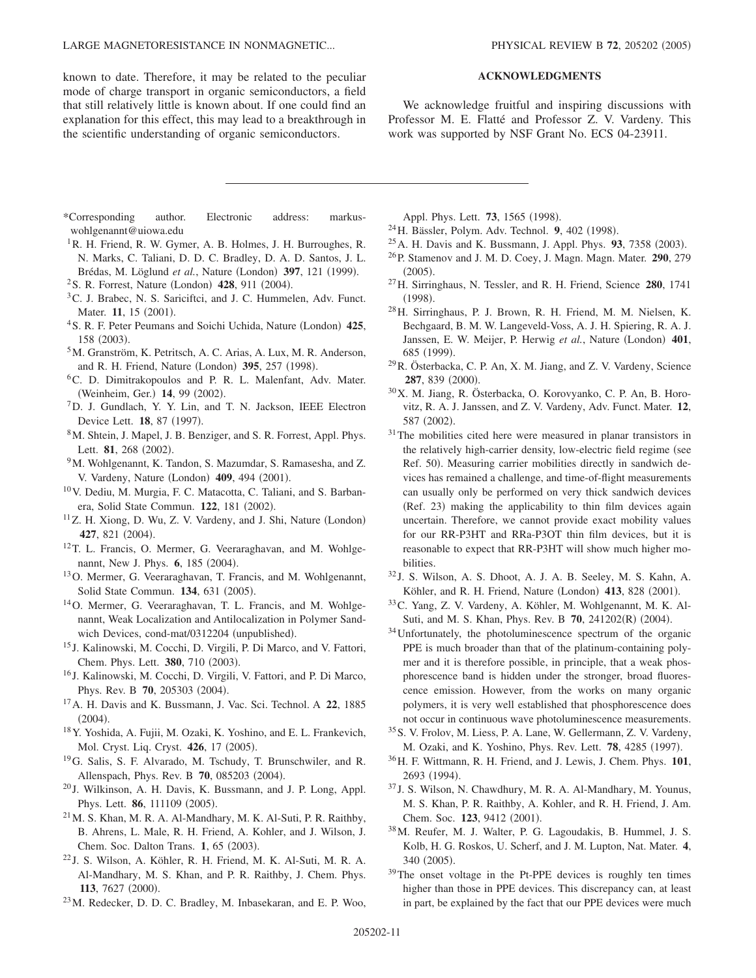LARGE MAGNETORESISTANCE IN NONMAGNETIC...

known to date. Therefore, it may be related to the peculiar mode of charge transport in organic semiconductors, a field that still relatively little is known about. If one could find an explanation for this effect, this may lead to a breakthrough in the scientific understanding of organic semiconductors.

## **ACKNOWLEDGMENTS**

We acknowledge fruitful and inspiring discussions with Professor M. E. Flatté and Professor Z. V. Vardeny. This work was supported by NSF Grant No. ECS 04-23911.

- \*Corresponding author. Electronic address: markuswohlgenannt@uiowa.edu
- <sup>1</sup>R. H. Friend, R. W. Gymer, A. B. Holmes, J. H. Burroughes, R. N. Marks, C. Taliani, D. D. C. Bradley, D. A. D. Santos, J. L. Brédas, M. Löglund et al., Nature (London) 397, 121 (1999).
- <sup>2</sup> S. R. Forrest, Nature (London) 428, 911 (2004).
- <sup>3</sup>C. J. Brabec, N. S. Sariciftci, and J. C. Hummelen, Adv. Funct. Mater. **11**, 15 (2001).
- <sup>4</sup> S. R. F. Peter Peumans and Soichi Uchida, Nature (London) 425, 158 (2003).
- 5M. Granström, K. Petritsch, A. C. Arias, A. Lux, M. R. Anderson, and R. H. Friend, Nature (London) 395, 257 (1998).
- 6C. D. Dimitrakopoulos and P. R. L. Malenfant, Adv. Mater. (Weinheim, Ger.) 14, 99 (2002).
- ${}^{7}D$ . J. Gundlach, Y. Y. Lin, and T. N. Jackson, IEEE Electron Device Lett. **18**, 87 (1997).
- 8M. Shtein, J. Mapel, J. B. Benziger, and S. R. Forrest, Appl. Phys. Lett. 81, 268 (2002).
- <sup>9</sup>M. Wohlgenannt, K. Tandon, S. Mazumdar, S. Ramasesha, and Z. V. Vardeny, Nature (London) 409, 494 (2001).
- 10V. Dediu, M. Murgia, F. C. Matacotta, C. Taliani, and S. Barbanera, Solid State Commun. 122, 181 (2002).
- <sup>11</sup>Z. H. Xiong, D. Wu, Z. V. Vardeny, and J. Shi, Nature (London) **427**, 821 (2004).
- <sup>12</sup>T. L. Francis, O. Mermer, G. Veeraraghavan, and M. Wohlgenannt, New J. Phys. **6**, 185 (2004).
- 13O. Mermer, G. Veeraraghavan, T. Francis, and M. Wohlgenannt, Solid State Commun. 134, 631 (2005).
- 14O. Mermer, G. Veeraraghavan, T. L. Francis, and M. Wohlgenannt, Weak Localization and Antilocalization in Polymer Sandwich Devices, cond-mat/0312204 (unpublished).
- <sup>15</sup> J. Kalinowski, M. Cocchi, D. Virgili, P. Di Marco, and V. Fattori, Chem. Phys. Lett. 380, 710 (2003).
- <sup>16</sup> J. Kalinowski, M. Cocchi, D. Virgili, V. Fattori, and P. Di Marco, Phys. Rev. B 70, 205303 (2004).
- 17A. H. Davis and K. Bussmann, J. Vac. Sci. Technol. A **22**, 1885  $(2004).$
- 18Y. Yoshida, A. Fujii, M. Ozaki, K. Yoshino, and E. L. Frankevich, Mol. Cryst. Liq. Cryst. **426**, 17 (2005).
- 19G. Salis, S. F. Alvarado, M. Tschudy, T. Brunschwiler, and R. Allenspach, Phys. Rev. B 70, 085203 (2004).
- <sup>20</sup> J. Wilkinson, A. H. Davis, K. Bussmann, and J. P. Long, Appl. Phys. Lett. **86**, 111109 (2005).
- $^{21}$  M. S. Khan, M. R. A. Al-Mandhary, M. K. Al-Suti, P. R. Raithby, B. Ahrens, L. Male, R. H. Friend, A. Kohler, and J. Wilson, J. Chem. Soc. Dalton Trans. 1, 65 (2003).
- $^{22}$ J. S. Wilson, A. Köhler, R. H. Friend, M. K. Al-Suti, M. R. A. Al-Mandhary, M. S. Khan, and P. R. Raithby, J. Chem. Phys. 113, 7627 (2000).
- 23M. Redecker, D. D. C. Bradley, M. Inbasekaran, and E. P. Woo,

Appl. Phys. Lett. **73**, 1565 (1998).

- <sup>24</sup> H. Bässler, Polym. Adv. Technol. **9**, 402 (1998).
- <sup>25</sup> A. H. Davis and K. Bussmann, J. Appl. Phys. **93**, 7358 (2003).
- 26P. Stamenov and J. M. D. Coey, J. Magn. Magn. Mater. **290**, 279  $(2005).$
- 27H. Sirringhaus, N. Tessler, and R. H. Friend, Science **280**, 1741  $(1998).$
- 28H. Sirringhaus, P. J. Brown, R. H. Friend, M. M. Nielsen, K. Bechgaard, B. M. W. Langeveld-Voss, A. J. H. Spiering, R. A. J. Janssen, E. W. Meijer, P. Herwig et al., Nature (London) 401, 685 (1999).
- 29R. Österbacka, C. P. An, X. M. Jiang, and Z. V. Vardeny, Science 287, 839 (2000).
- 30X. M. Jiang, R. Österbacka, O. Korovyanko, C. P. An, B. Horovitz, R. A. J. Janssen, and Z. V. Vardeny, Adv. Funct. Mater. **12**, 587 (2002).
- <sup>31</sup>The mobilities cited here were measured in planar transistors in the relatively high-carrier density, low-electric field regime (see Ref. 50). Measuring carrier mobilities directly in sandwich devices has remained a challenge, and time-of-flight measurements can usually only be performed on very thick sandwich devices (Ref. 23) making the applicability to thin film devices again uncertain. Therefore, we cannot provide exact mobility values for our RR-P3HT and RRa-P3OT thin film devices, but it is reasonable to expect that RR-P3HT will show much higher mobilities.
- <sup>32</sup> J. S. Wilson, A. S. Dhoot, A. J. A. B. Seeley, M. S. Kahn, A. Köhler, and R. H. Friend, Nature (London) 413, 828 (2001).
- 33C. Yang, Z. V. Vardeny, A. Köhler, M. Wohlgenannt, M. K. Al-Suti, and M. S. Khan, Phys. Rev. B 70, 241202(R) (2004).
- <sup>34</sup>Unfortunately, the photoluminescence spectrum of the organic PPE is much broader than that of the platinum-containing polymer and it is therefore possible, in principle, that a weak phosphorescence band is hidden under the stronger, broad fluorescence emission. However, from the works on many organic polymers, it is very well established that phosphorescence does not occur in continuous wave photoluminescence measurements.
- 35S. V. Frolov, M. Liess, P. A. Lane, W. Gellermann, Z. V. Vardeny, M. Ozaki, and K. Yoshino, Phys. Rev. Lett. **78**, 4285 (1997).
- 36H. F. Wittmann, R. H. Friend, and J. Lewis, J. Chem. Phys. **101**, 2693 (1994).
- <sup>37</sup> J. S. Wilson, N. Chawdhury, M. R. A. Al-Mandhary, M. Younus, M. S. Khan, P. R. Raithby, A. Kohler, and R. H. Friend, J. Am. Chem. Soc. 123, 9412 (2001).
- 38M. Reufer, M. J. Walter, P. G. Lagoudakis, B. Hummel, J. S. Kolb, H. G. Roskos, U. Scherf, and J. M. Lupton, Nat. Mater. **4**, 340 (2005).
- <sup>39</sup>The onset voltage in the Pt-PPE devices is roughly ten times higher than those in PPE devices. This discrepancy can, at least in part, be explained by the fact that our PPE devices were much